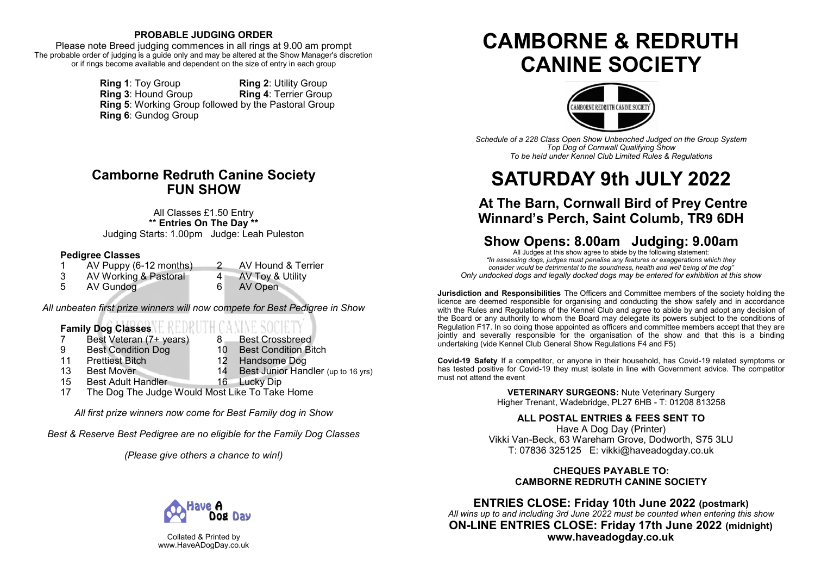# **PROBABLE JUDGING ORDER**

Please note Breed judging commences in all rings at 9.00 am prompt The probable order of judging is a guide only and may be altered at the Show Manager's discretion or if rings become available and dependent on the size of entry in each group

> **Ring 1**: Toy Group **Ring 2**: Utility Group<br> **Ring 3**: Hound Group **Ring 4**: Terrier Group **Ring 3: Hound Group Ring 5**: Working Group followed by the Pastoral Group **Ring 6**: Gundog Group

# **Camborne Redruth Canine Society FUN SHOW**

All Classes £1.50 Entry \*\* **Entries On The Day \*\*** Judging Starts: 1.00pm Judge: Leah Puleston

# **Pedigree Classes**

- 1 AV Puppy (6-12 months) 2 AV Hound & Terrier<br>3 AV Working & Pastoral 4 AV Tov & Utility
- 3 AV Working & Pastoral 4 AV Toy & Utility<br>5 AV Gundog
- 5 AV Gundog 6 AV Open
- 

*All unbeaten first prize winners will now compete for Best Pedigree in Show*

# **Family Dog Classes**

- 7 Best Veteran (7+ years) 8 Best Crossbreed
	-
- 9 Best Condition Dog 10 Best Condition Bitch<br>11 Prettiest Bitch 10 12 Handsome Dog
- 
- Prettiest Bitch 12 Handsome Dog<br>
Rest Mover 14 Rest Junior Han
- 13 Best Mover 14 Best Junior Handler (up to 16 yrs)
- 15 Best Adult Handler 16 Lucky Dip
- 17 The Dog The Judge Would Most Like To Take Home

*All first prize winners now come for Best Family dog in Show*

*Best & Reserve Best Pedigree are no eligible for the Family Dog Classes*

*(Please give others a chance to win!)*



Collated & Printed by www.HaveADogDay.co.uk

# **CAMBORNE & REDRUTH CANINE SOCIETY**



*Schedule of a 228 Class Open Show Unbenched Judged on the Group System Top Dog of Cornwall Qualifying Show To be held under Kennel Club Limited Rules & Regulations*

# **SATURDAY 9th JULY 2022**

# **At The Barn, Cornwall Bird of Prey Centre Winnard's Perch, Saint Columb, TR9 6DH**

# **Show Opens: 8.00am Judging: 9.00am**

All Judges at this show agree to abide by the following statement: *"In assessing dogs, judges must penalise any features or exaggerations which they consider would be detrimental to the soundness, health and well being of the dog" Only undocked dogs and legally docked dogs may be entered for exhibition at this show*

**Jurisdiction and Responsibilities** The Officers and Committee members of the society holding the licence are deemed responsible for organising and conducting the show safely and in accordance with the Rules and Regulations of the Kennel Club and agree to abide by and adopt any decision of the Board or any authority to whom the Board may delegate its powers subject to the conditions of Regulation F17. In so doing those appointed as officers and committee members accept that they are jointly and severally responsible for the organisation of the show and that this is a binding undertaking (vide Kennel Club General Show Regulations F4 and F5)

**Covid-19 Safety** If a competitor, or anyone in their household, has Covid-19 related symptoms or has tested positive for Covid-19 they must isolate in line with Government advice. The competitor must not attend the event

> **VETERINARY SURGEONS:** Nute Veterinary Surgery Higher Trenant, Wadebridge, PL27 6HB - T: 01208 813258

**ALL POSTAL ENTRIES & FEES SENT TO** Have A Dog Day (Printer)

Vikki Van-Beck, 63 Wareham Grove, Dodworth, S75 3LU T: 07836 325125 E: vikki@haveadogday.co.uk

# **CHEQUES PAYABLE TO: CAMBORNE REDRUTH CANINE SOCIETY**

**ENTRIES CLOSE: Friday 10th June 2022 (postmark)** *All wins up to and including 3rd June 2022 must be counted when entering this show* **ON-LINE ENTRIES CLOSE: Friday 17th June 2022 (midnight) www.haveadogday.co.uk**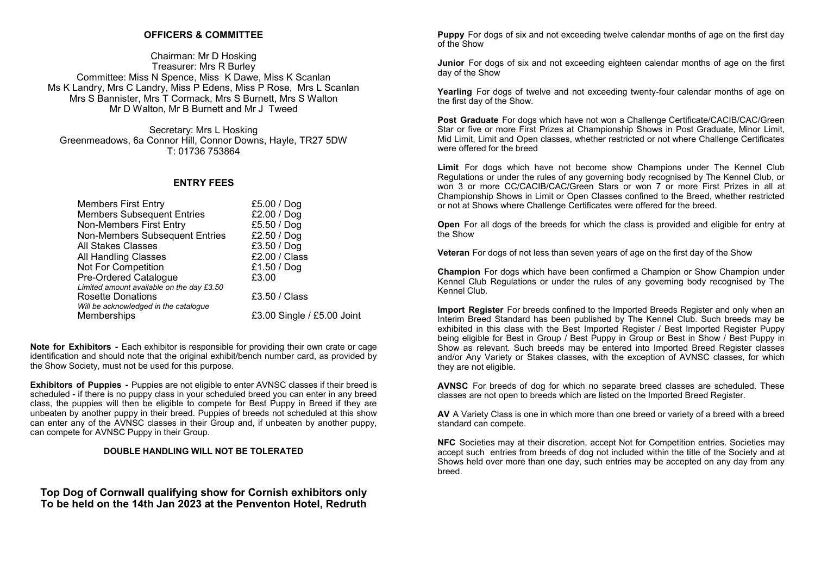## **OFFICERS & COMMITTEE**

Chairman: Mr D Hosking Treasurer: Mrs R Burley Committee: Miss N Spence, Miss K Dawe, Miss K Scanlan Ms K Landry, Mrs C Landry, Miss P Edens, Miss P Rose, Mrs L Scanlan Mrs S Bannister, Mrs T Cormack, Mrs S Burnett, Mrs S Walton Mr D Walton, Mr B Burnett and Mr J Tweed

Secretary: Mrs L Hosking Greenmeadows, 6a Connor Hill, Connor Downs, Hayle, TR27 5DW T: 01736 753864

## **ENTRY FEES**

| <b>Members First Entry</b>                | £5.00 / Dog                |
|-------------------------------------------|----------------------------|
| <b>Members Subsequent Entries</b>         | £2.00 / Dog                |
| Non-Members First Entry                   | £5.50 / Dog                |
| Non-Members Subsequent Entries            | £2.50 / Dog                |
| All Stakes Classes                        | £3.50 / Dog                |
| All Handling Classes                      | £2.00 / Class              |
| Not For Competition                       | £1.50 / $Dog$              |
| Pre-Ordered Catalogue                     | £3.00                      |
| Limited amount available on the day £3.50 |                            |
| <b>Rosette Donations</b>                  | £3.50 / Class              |
| Will be acknowledged in the catalogue     |                            |
| Memberships                               | £3.00 Single / £5.00 Joint |

**Note for Exhibitors -** Each exhibitor is responsible for providing their own crate or cage identification and should note that the original exhibit/bench number card, as provided by the Show Society, must not be used for this purpose.

**Exhibitors of Puppies -** Puppies are not eligible to enter AVNSC classes if their breed is scheduled - if there is no puppy class in your scheduled breed you can enter in any breed class, the puppies will then be eligible to compete for Best Puppy in Breed if they are unbeaten by another puppy in their breed. Puppies of breeds not scheduled at this show can enter any of the AVNSC classes in their Group and, if unbeaten by another puppy, can compete for AVNSC Puppy in their Group.

## **DOUBLE HANDLING WILL NOT BE TOLERATED**

**Top Dog of Cornwall qualifying show for Cornish exhibitors only To be held on the 14th Jan 2023 at the Penventon Hotel, Redruth** **Puppy** For dogs of six and not exceeding twelve calendar months of age on the first day of the Show

**Junior** For dogs of six and not exceeding eighteen calendar months of age on the first day of the Show

**Yearling** For dogs of twelve and not exceeding twenty-four calendar months of age on the first day of the Show.

**Post Graduate** For dogs which have not won a Challenge Certificate/CACIB/CAC/Green Star or five or more First Prizes at Championship Shows in Post Graduate, Minor Limit, Mid Limit, Limit and Open classes, whether restricted or not where Challenge Certificates were offered for the breed

**Limit** For dogs which have not become show Champions under The Kennel Club Regulations or under the rules of any governing body recognised by The Kennel Club, or won 3 or more CC/CACIB/CAC/Green Stars or won 7 or more First Prizes in all at Championship Shows in Limit or Open Classes confined to the Breed, whether restricted or not at Shows where Challenge Certificates were offered for the breed.

**Open** For all dogs of the breeds for which the class is provided and eligible for entry at the Show

**Veteran** For dogs of not less than seven years of age on the first day of the Show

**Champion** For dogs which have been confirmed a Champion or Show Champion under Kennel Club Regulations or under the rules of any governing body recognised by The Kennel Club.

**Import Register** For breeds confined to the Imported Breeds Register and only when an Interim Breed Standard has been published by The Kennel Club. Such breeds may be exhibited in this class with the Best Imported Register / Best Imported Register Puppy being eligible for Best in Group / Best Puppy in Group or Best in Show / Best Puppy in Show as relevant. Such breeds may be entered into Imported Breed Register classes and/or Any Variety or Stakes classes, with the exception of AVNSC classes, for which they are not eligible.

**AVNSC** For breeds of dog for which no separate breed classes are scheduled. These classes are not open to breeds which are listed on the Imported Breed Register.

**AV** A Variety Class is one in which more than one breed or variety of a breed with a breed standard can compete.

**NFC** Societies may at their discretion, accept Not for Competition entries. Societies may accept such entries from breeds of dog not included within the title of the Society and at Shows held over more than one day, such entries may be accepted on any day from any breed.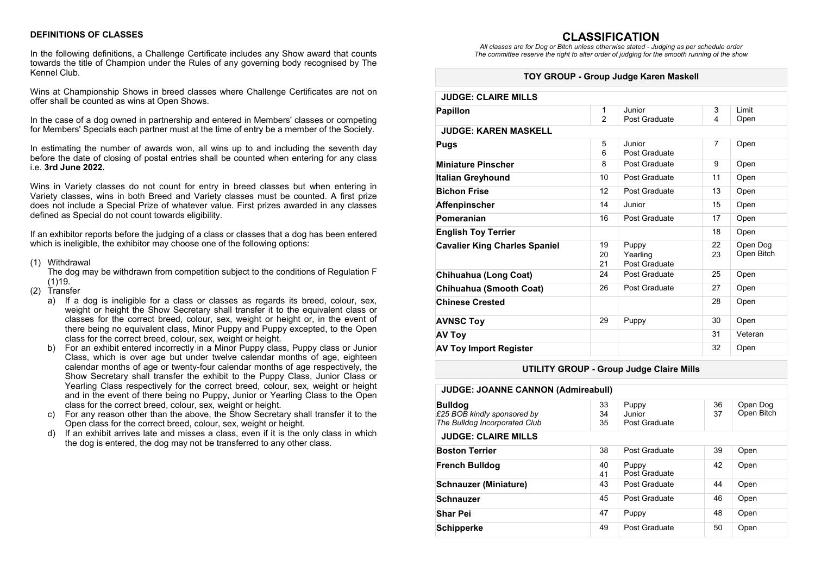## **DEFINITIONS OF CLASSES**

In the following definitions, a Challenge Certificate includes any Show award that counts towards the title of Champion under the Rules of any governing body recognised by The Kennel Club.

Wins at Championship Shows in breed classes where Challenge Certificates are not on offer shall be counted as wins at Open Shows.

In the case of a dog owned in partnership and entered in Members' classes or competing for Members' Specials each partner must at the time of entry be a member of the Society.

In estimating the number of awards won, all wins up to and including the seventh day before the date of closing of postal entries shall be counted when entering for any class i.e. **3rd June 2022.**

Wins in Variety classes do not count for entry in breed classes but when entering in Variety classes, wins in both Breed and Variety classes must be counted. A first prize does not include a Special Prize of whatever value. First prizes awarded in any classes defined as Special do not count towards eligibility.

If an exhibitor reports before the judging of a class or classes that a dog has been entered which is ineligible, the exhibitor may choose one of the following options:

(1) Withdrawal

The dog may be withdrawn from competition subject to the conditions of Regulation F  $(1)19.$ 

- (2) Transfer
	- a) If a dog is ineligible for a class or classes as regards its breed, colour, sex, weight or height the Show Secretary shall transfer it to the equivalent class or classes for the correct breed, colour, sex, weight or height or, in the event of there being no equivalent class, Minor Puppy and Puppy excepted, to the Open class for the correct breed, colour, sex, weight or height.
	- b) For an exhibit entered incorrectly in a Minor Puppy class, Puppy class or Junior Class, which is over age but under twelve calendar months of age, eighteen calendar months of age or twenty-four calendar months of age respectively, the Show Secretary shall transfer the exhibit to the Puppy Class, Junior Class or Yearling Class respectively for the correct breed, colour, sex, weight or height and in the event of there being no Puppy, Junior or Yearling Class to the Open class for the correct breed, colour, sex, weight or height.
	- For any reason other than the above, the Show Secretary shall transfer it to the Open class for the correct breed, colour, sex, weight or height.
	- d) If an exhibit arrives late and misses a class, even if it is the only class in which the dog is entered, the dog may not be transferred to any other class.

**CLASSIFICATION** *All classes are for Dog or Bitch unless otherwise stated - Judging as per schedule order The committee reserve the right to alter order of judging for the smooth running of the show*

#### **TOY GROUP - Group Judge Karen Maskell**

| <b>JUDGE: CLAIRE MILLS</b>           |                |               |                |            |  |  |
|--------------------------------------|----------------|---------------|----------------|------------|--|--|
| <b>Papillon</b>                      | 1              | Junior        | 3              | I imit     |  |  |
|                                      | $\mathfrak{p}$ | Post Graduate | 4              | Open       |  |  |
| <b>JUDGE: KAREN MASKELL</b>          |                |               |                |            |  |  |
| Pugs                                 | 5              | Junior        | $\overline{7}$ | Open       |  |  |
|                                      | 6              | Post Graduate |                |            |  |  |
| <b>Miniature Pinscher</b>            | 8              | Post Graduate | 9              | Open       |  |  |
| Italian Greyhound                    | 10             | Post Graduate | 11             | Open       |  |  |
| <b>Bichon Frise</b>                  | 12             | Post Graduate | 13             | Open       |  |  |
| Affenpinscher                        | 14             | Junior        | 15             | Open       |  |  |
| Pomeranian                           | 16             | Post Graduate | 17             | Open       |  |  |
| <b>English Toy Terrier</b>           |                |               | 18             | Open       |  |  |
| <b>Cavalier King Charles Spaniel</b> | 19             | Puppy         | 22             | Open Dog   |  |  |
|                                      | 20             | Yearling      | 23             | Open Bitch |  |  |
|                                      | 21             | Post Graduate |                |            |  |  |
| Chihuahua (Long Coat)                | 24             | Post Graduate | 25             | Open       |  |  |
| Chihuahua (Smooth Coat)              | 26             | Post Graduate | 27             | Open       |  |  |
| <b>Chinese Crested</b>               |                |               | 28             | Open       |  |  |
| <b>AVNSC Toy</b>                     | 29             | Puppy         | 30             | Open       |  |  |
| <b>AV Toy</b>                        |                |               | 31             | Veteran    |  |  |
| <b>AV Toy Import Register</b>        |                |               | 32             | Open       |  |  |

#### **UTILITY GROUP - Group Judge Claire Mills**

| <b>JUDGE: JOANNE CANNON (Admireabull)</b>                                      |                |                                  |          |                        |  |
|--------------------------------------------------------------------------------|----------------|----------------------------------|----------|------------------------|--|
| <b>Bulldog</b><br>£25 BOB kindly sponsored by<br>The Bulldog Incorporated Club | 33<br>34<br>35 | Puppy<br>Junior<br>Post Graduate | 36<br>37 | Open Dog<br>Open Bitch |  |
| <b>JUDGE: CLAIRE MILLS</b>                                                     |                |                                  |          |                        |  |
| <b>Boston Terrier</b>                                                          | 38             | Post Graduate                    | 39       | Open                   |  |
| <b>French Bulldog</b>                                                          | 40<br>41       | Puppy<br>Post Graduate           | 42       | Open                   |  |
| <b>Schnauzer (Miniature)</b>                                                   | 43             | Post Graduate                    | 44       | Open                   |  |
| <b>Schnauzer</b>                                                               | 45             | Post Graduate                    | 46       | Open                   |  |
| <b>Shar Pei</b>                                                                | 47             | Puppy                            | 48       | Open                   |  |
| <b>Schipperke</b>                                                              | 49             | Post Graduate                    | 50       | Open                   |  |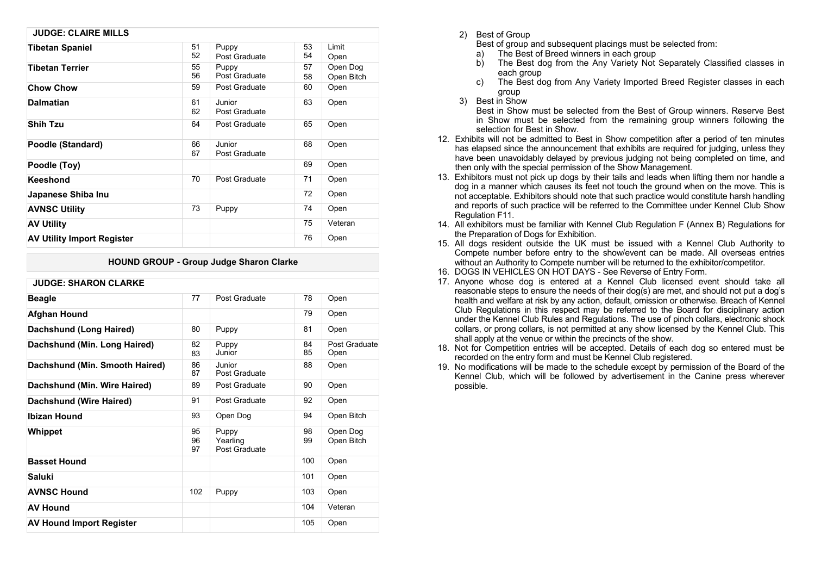| <b>JUDGE: CLAIRE MILLS</b>        |          |                         |          |                        |
|-----------------------------------|----------|-------------------------|----------|------------------------|
| <b>Tibetan Spaniel</b>            | 51<br>52 | Puppy<br>Post Graduate  | 53<br>54 | Limit<br>Open          |
| <b>Tibetan Terrier</b>            | 55<br>56 | Puppy<br>Post Graduate  | 57<br>58 | Open Dog<br>Open Bitch |
| <b>Chow Chow</b>                  | 59       | Post Graduate           | 60       | Open                   |
| Dalmatian                         | 61<br>62 | Junior<br>Post Graduate | 63       | Open                   |
| <b>Shih Tzu</b>                   | 64       | Post Graduate           | 65       | Open                   |
| Poodle (Standard)                 | 66<br>67 | Junior<br>Post Graduate | 68       | Open                   |
| Poodle (Toy)                      |          |                         | 69       | Open                   |
| Keeshond                          | 70       | Post Graduate           | 71       | Open                   |
| Japanese Shiba Inu                |          |                         | 72       | Open                   |
| <b>AVNSC Utility</b>              | 73       | Puppy                   | 74       | Open                   |
| <b>AV Utility</b>                 |          |                         | 75       | Veteran                |
| <b>AV Utility Import Register</b> |          |                         | 76       | Open                   |

## **HOUND GROUP - Group Judge Sharon Clarke**

| <b>JUDGE: SHARON CLARKE</b>     |                |                                    |          |                        |  |
|---------------------------------|----------------|------------------------------------|----------|------------------------|--|
| <b>Beagle</b>                   | 77             | Post Graduate                      | 78       | Open                   |  |
| Afghan Hound                    |                |                                    | 79       | Open                   |  |
| Dachshund (Long Haired)         | 80             | Puppy                              | 81       | Open                   |  |
| Dachshund (Min. Long Haired)    | 82<br>83       | Puppy<br>Junior                    | 84<br>85 | Post Graduate<br>Open  |  |
| Dachshund (Min. Smooth Haired)  | 86<br>87       | Junior<br>Post Graduate            | 88       | Open                   |  |
| Dachshund (Min. Wire Haired)    | 89             | Post Graduate                      | 90       | Open                   |  |
| Dachshund (Wire Haired)         | 91             | Post Graduate                      | 92       | Open                   |  |
| <b>Ibizan Hound</b>             | 93             | Open Dog                           | 94       | Open Bitch             |  |
| Whippet                         | 95<br>96<br>97 | Puppy<br>Yearling<br>Post Graduate | 98<br>99 | Open Dog<br>Open Bitch |  |
| <b>Basset Hound</b>             |                |                                    | 100      | Open                   |  |
| Saluki                          |                |                                    | 101      | Open                   |  |
| <b>AVNSC Hound</b>              | 102            | Puppy                              | 103      | Open                   |  |
| <b>AV Hound</b>                 |                |                                    | 104      | Veteran                |  |
| <b>AV Hound Import Register</b> |                |                                    | 105      | Open                   |  |

2) Best of Group

Best of group and subsequent placings must be selected from:

- The Best of Breed winners in each group
- b) The Best dog from the Any Variety Not Separately Classified classes in each group
- c) The Best dog from Any Variety Imported Breed Register classes in each group
- 3) Best in Show

Best in Show must be selected from the Best of Group winners. Reserve Best in Show must be selected from the remaining group winners following the selection for Best in Show.

- 12. Exhibits will not be admitted to Best in Show competition after a period of ten minutes has elapsed since the announcement that exhibits are required for judging, unless they have been unavoidably delayed by previous judging not being completed on time, and then only with the special permission of the Show Management.
- 13. Exhibitors must not pick up dogs by their tails and leads when lifting them nor handle a dog in a manner which causes its feet not touch the ground when on the move. This is not acceptable. Exhibitors should note that such practice would constitute harsh handling and reports of such practice will be referred to the Committee under Kennel Club Show Regulation F11.
- 14. All exhibitors must be familiar with Kennel Club Regulation F (Annex B) Regulations for the Preparation of Dogs for Exhibition.
- 15. All dogs resident outside the UK must be issued with a Kennel Club Authority to Compete number before entry to the show/event can be made. All overseas entries without an Authority to Compete number will be returned to the exhibitor/competitor.
- 16. DOGS IN VEHICLES ON HOT DAYS See Reverse of Entry Form.
- 17. Anyone whose dog is entered at a Kennel Club licensed event should take all reasonable steps to ensure the needs of their dog(s) are met, and should not put a dog's health and welfare at risk by any action, default, omission or otherwise. Breach of Kennel Club Regulations in this respect may be referred to the Board for disciplinary action under the Kennel Club Rules and Regulations. The use of pinch collars, electronic shock collars, or prong collars, is not permitted at any show licensed by the Kennel Club. This shall apply at the venue or within the precincts of the show.
- 18. Not for Competition entries will be accepted. Details of each dog so entered must be recorded on the entry form and must be Kennel Club registered.
- 19. No modifications will be made to the schedule except by permission of the Board of the Kennel Club, which will be followed by advertisement in the Canine press wherever possible.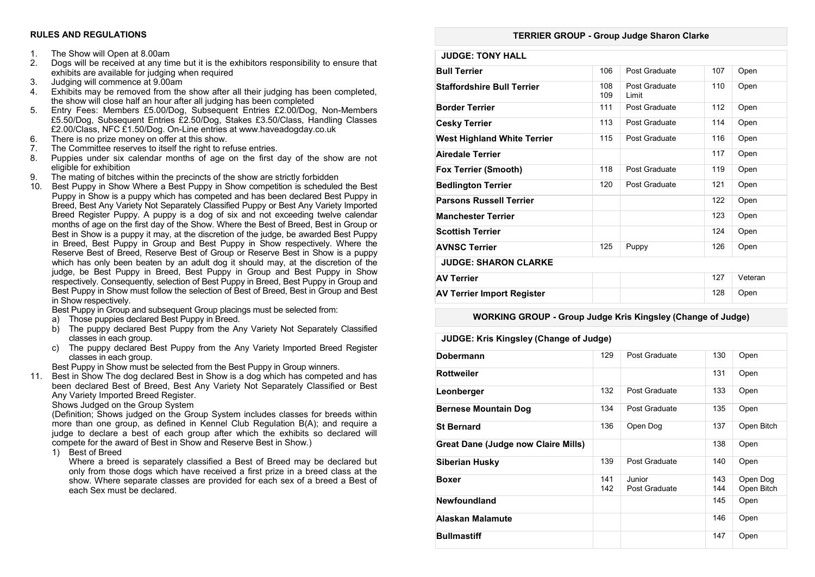#### **RULES AND REGULATIONS**

- 1. The Show will Open at 8.00am<br>2. Dogs will be received at any tir
- 2. Dogs will be received at any time but it is the exhibitors responsibility to ensure that exhibits are available for judging when required
- 3. Judging will commence at 9.00am
- 4. Exhibits may be removed from the show after all their judging has been completed, the show will close half an hour after all judging has been completed
- 5. Entry Fees: Members £5.00/Dog, Subsequent Entries £2.00/Dog, Non-Members £5.50/Dog, Subsequent Entries £2.50/Dog, Stakes £3.50/Class, Handling Classes £2.00/Class, NFC £1.50/Dog. On-Line entries at www.haveadogday.co.uk
- 6. There is no prize money on offer at this show.
- 7. The Committee reserves to itself the right to refuse entries.
- 8. Puppies under six calendar months of age on the first day of the show are not eligible for exhibition
- 9. The mating of bitches within the precincts of the show are strictly forbidden
- 10. Best Puppy in Show Where a Best Puppy in Show competition is scheduled the Best Puppy in Show is a puppy which has competed and has been declared Best Puppy in Breed, Best Any Variety Not Separately Classified Puppy or Best Any Variety Imported Breed Register Puppy. A puppy is a dog of six and not exceeding twelve calendar months of age on the first day of the Show. Where the Best of Breed, Best in Group or Best in Show is a puppy it may, at the discretion of the judge, be awarded Best Puppy in Breed, Best Puppy in Group and Best Puppy in Show respectively. Where the Reserve Best of Breed, Reserve Best of Group or Reserve Best in Show is a puppy which has only been beaten by an adult dog it should may, at the discretion of the judge, be Best Puppy in Breed, Best Puppy in Group and Best Puppy in Show respectively. Consequently, selection of Best Puppy in Breed, Best Puppy in Group and Best Puppy in Show must follow the selection of Best of Breed, Best in Group and Best in Show respectively.

Best Puppy in Group and subsequent Group placings must be selected from:

- a) Those puppies declared Best Puppy in Breed.
- b) The puppy declared Best Puppy from the Any Variety Not Separately Classified classes in each group.
- c) The puppy declared Best Puppy from the Any Variety Imported Breed Register classes in each group.

Best Puppy in Show must be selected from the Best Puppy in Group winners.

11. Best in Show The dog declared Best in Show is a dog which has competed and has been declared Best of Breed, Best Any Variety Not Separately Classified or Best Any Variety Imported Breed Register.

Shows Judged on the Group System

(Definition; Shows judged on the Group System includes classes for breeds within more than one group, as defined in Kennel Club Regulation B(A); and require a judge to declare a best of each group after which the exhibits so declared will compete for the award of Best in Show and Reserve Best in Show.)

1) Best of Breed

Where a breed is separately classified a Best of Breed may be declared but only from those dogs which have received a first prize in a breed class at the show. Where separate classes are provided for each sex of a breed a Best of each Sex must be declared.

#### **TERRIER GROUP - Group Judge Sharon Clarke**

| <b>JUDGE: TONY HALL</b>            |            |                        |     |         |
|------------------------------------|------------|------------------------|-----|---------|
| <b>Bull Terrier</b>                | 106        | Post Graduate          | 107 | Open    |
| <b>Staffordshire Bull Terrier</b>  | 108<br>109 | Post Graduate<br>Limit | 110 | Open    |
| <b>Border Terrier</b>              | 111        | Post Graduate          | 112 | Open    |
| <b>Cesky Terrier</b>               | 113        | Post Graduate          | 114 | Open    |
| <b>West Highland White Terrier</b> | 115        | Post Graduate          | 116 | Open    |
| <b>Airedale Terrier</b>            |            |                        | 117 | Open    |
| <b>Fox Terrier (Smooth)</b>        | 118        | Post Graduate          | 119 | Open    |
| <b>Bedlington Terrier</b>          | 120        | Post Graduate          | 121 | Open    |
| <b>Parsons Russell Terrier</b>     |            |                        | 122 | Open    |
| <b>Manchester Terrier</b>          |            |                        | 123 | Open    |
| <b>Scottish Terrier</b>            |            |                        | 124 | Open    |
| <b>AVNSC Terrier</b>               | 125        | Puppy                  | 126 | Open    |
| <b>JUDGE: SHARON CLARKE</b>        |            |                        |     |         |
| <b>AV Terrier</b>                  |            |                        | 127 | Veteran |
| <b>AV Terrier Import Register</b>  |            |                        | 128 | Open    |

## **WORKING GROUP - Group Judge Kris Kingsley (Change of Judge)**

| <b>JUDGE: Kris Kingsley (Change of Judge)</b> |            |                         |            |                        |
|-----------------------------------------------|------------|-------------------------|------------|------------------------|
| <b>Dobermann</b>                              | 129        | Post Graduate           | 130        | Open                   |
| <b>Rottweiler</b>                             |            |                         | 131        | Open                   |
| Leonberger                                    | 132        | Post Graduate           | 133        | Open                   |
| <b>Bernese Mountain Dog</b>                   | 134        | Post Graduate           | 135        | Open                   |
| <b>St Bernard</b>                             | 136        | Open Dog                | 137        | Open Bitch             |
| Great Dane (Judge now Claire Mills)           |            |                         | 138        | Open                   |
| <b>Siberian Husky</b>                         | 139        | Post Graduate           | 140        | Open                   |
| <b>Boxer</b>                                  | 141<br>142 | Junior<br>Post Graduate | 143<br>144 | Open Dog<br>Open Bitch |
| Newfoundland                                  |            |                         | 145        | Open                   |
| Alaskan Malamute                              |            |                         | 146        | Open                   |
| <b>Bullmastiff</b>                            |            |                         | 147        | Open                   |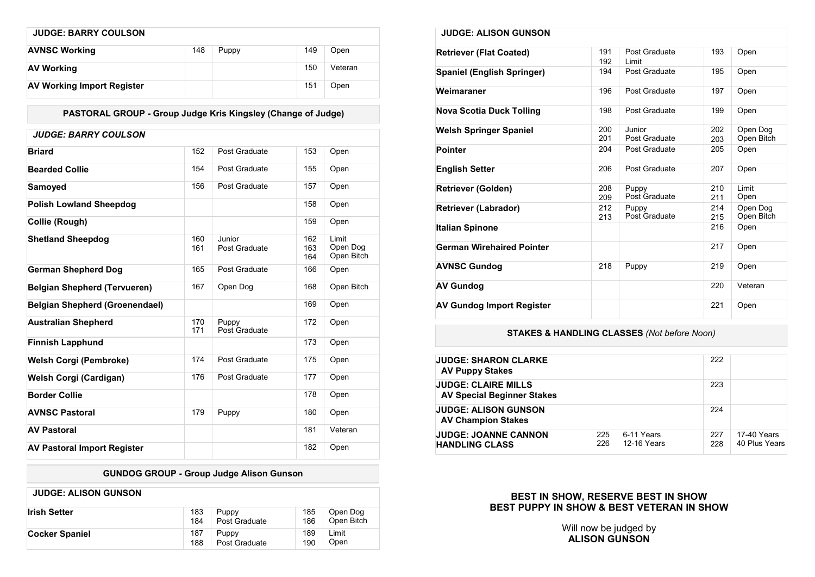| <b>JUDGE: BARRY COULSON</b>       |     |       |     |         |
|-----------------------------------|-----|-------|-----|---------|
| <b>AVNSC Working</b>              | 148 | Puppy | 149 | Open    |
| <b>AV Working</b>                 |     |       | 150 | Veteran |
| <b>AV Working Import Register</b> |     |       | 151 | Open    |

**PASTORAL GROUP - Group Judge Kris Kingsley (Change of Judge)**

| <b>JUDGE: BARRY COULSON</b>           |            |                         |                   |                                 |
|---------------------------------------|------------|-------------------------|-------------------|---------------------------------|
| <b>Briard</b>                         | 152        | Post Graduate           | 153               | Open                            |
| <b>Bearded Collie</b>                 | 154        | Post Graduate           | 155               | Open                            |
| Samoyed                               | 156        | Post Graduate           | 157               | Open                            |
| <b>Polish Lowland Sheepdog</b>        |            |                         | 158               | Open                            |
| Collie (Rough)                        |            |                         | 159               | Open                            |
| <b>Shetland Sheepdog</b>              | 160<br>161 | Junior<br>Post Graduate | 162<br>163<br>164 | Limit<br>Open Dog<br>Open Bitch |
| <b>German Shepherd Dog</b>            | 165        | Post Graduate           | 166               | Open                            |
| <b>Belgian Shepherd (Tervueren)</b>   | 167        | Open Dog                | 168               | Open Bitch                      |
| <b>Belgian Shepherd (Groenendael)</b> |            |                         | 169               | Open                            |
| <b>Australian Shepherd</b>            | 170<br>171 | Puppy<br>Post Graduate  | 172               | Open                            |
| <b>Finnish Lapphund</b>               |            |                         | 173               | Open                            |
| Welsh Corgi (Pembroke)                | 174        | Post Graduate           | 175               | Open                            |
| Welsh Corgi (Cardigan)                | 176        | Post Graduate           | 177               | Open                            |
| <b>Border Collie</b>                  |            |                         | 178               | Open                            |
| <b>AVNSC Pastoral</b>                 | 179        | Puppy                   | 180               | Open                            |
| <b>AV Pastoral</b>                    |            |                         | 181               | Veteran                         |
| <b>AV Pastoral Import Register</b>    |            |                         | 182               | Open                            |

# **GUNDOG GROUP - Group Judge Alison Gunson**

| <b>JUDGE: ALISON GUNSON</b> |     |               |     |            |
|-----------------------------|-----|---------------|-----|------------|
| <b>Irish Setter</b>         | 183 | Puppy         | 185 | Open Dog   |
|                             | 184 | Post Graduate | 186 | Open Bitch |
| Cocker Spaniel              | 187 | Puppy         | 189 | Limit      |
|                             | 188 | Post Graduate | 190 | Open       |

| <b>JUDGE: ALISON GUNSON</b>       |            |                         |            |                        |
|-----------------------------------|------------|-------------------------|------------|------------------------|
| <b>Retriever (Flat Coated)</b>    | 191<br>192 | Post Graduate<br>Limit  | 193        | Open                   |
| <b>Spaniel (English Springer)</b> | 194        | Post Graduate           | 195        | Open                   |
| Weimaraner                        | 196        | Post Graduate           | 197        | Open                   |
| Nova Scotia Duck Tolling          | 198        | Post Graduate           | 199        | Open                   |
| <b>Welsh Springer Spaniel</b>     | 200<br>201 | Junior<br>Post Graduate | 202<br>203 | Open Dog<br>Open Bitch |
| <b>Pointer</b>                    | 204        | Post Graduate           | 205        | Open                   |
| <b>English Setter</b>             | 206        | Post Graduate           | 207        | Open                   |
| <b>Retriever (Golden)</b>         | 208<br>209 | Puppy<br>Post Graduate  | 210<br>211 | Limit<br>Open          |
| <b>Retriever (Labrador)</b>       | 212<br>213 | Puppy<br>Post Graduate  | 214<br>215 | Open Dog<br>Open Bitch |
| <b>Italian Spinone</b>            |            |                         | 216        | Open                   |
| German Wirehaired Pointer         |            |                         | 217        | Open                   |
| <b>AVNSC Gundog</b>               | 218        | Puppy                   | 219        | Open                   |
| <b>AV Gundog</b>                  |            |                         | 220        | Veteran                |
| <b>AV Gundog Import Register</b>  |            |                         | 221        | Open                   |

# **STAKES & HANDLING CLASSES** *(Not before Noon)*

| <b>JUDGE: SHARON CLARKE</b><br><b>AV Puppy Stakes</b>           |            |                           | 222        |                              |
|-----------------------------------------------------------------|------------|---------------------------|------------|------------------------------|
| <b>JUDGE: CLAIRE MILLS</b><br><b>AV Special Beginner Stakes</b> |            |                           | 223        |                              |
| <b>JUDGE: ALISON GUNSON</b><br><b>AV Champion Stakes</b>        |            |                           | 224        |                              |
| <b>JUDGE: JOANNE CANNON</b><br><b>HANDLING CLASS</b>            | 225<br>226 | 6-11 Years<br>12-16 Years | 227<br>228 | 17-40 Years<br>40 Plus Years |

# **BEST IN SHOW, RESERVE BEST IN SHOW BEST PUPPY IN SHOW & BEST VETERAN IN SHOW**

Will now be judged by **ALISON GUNSON**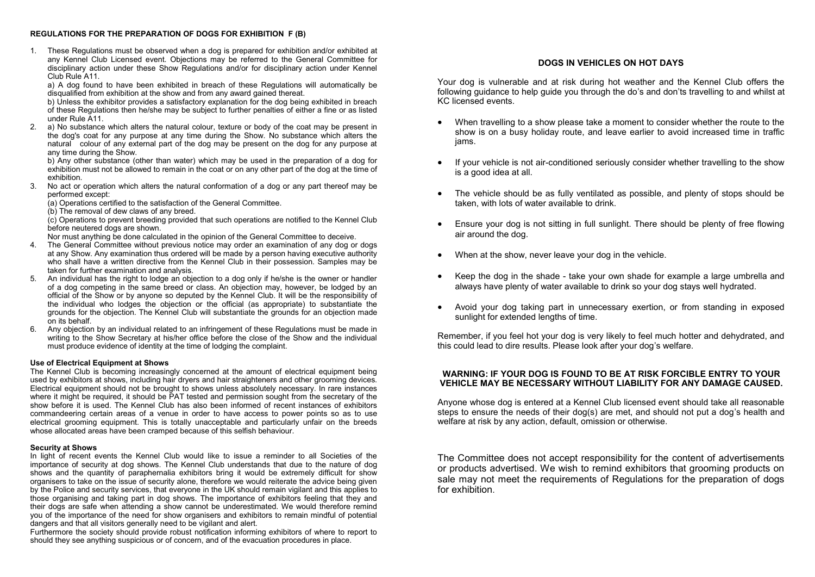#### **REGULATIONS FOR THE PREPARATION OF DOGS FOR EXHIBITION F (B)**

1. These Regulations must be observed when a dog is prepared for exhibition and/or exhibited at any Kennel Club Licensed event. Objections may be referred to the General Committee for disciplinary action under these Show Regulations and/or for disciplinary action under Kennel Club Rule A11.

a) A dog found to have been exhibited in breach of these Regulations will automatically be disqualified from exhibition at the show and from any award gained thereat.

b) Unless the exhibitor provides a satisfactory explanation for the dog being exhibited in breach of these Regulations then he/she may be subject to further penalties of either a fine or as listed under Rule A11.

2. a) No substance which alters the natural colour, texture or body of the coat may be present in the dog's coat for any purpose at any time during the Show. No substance which alters the natural colour of any external part of the dog may be present on the dog for any purpose at any time during the Show.

b) Any other substance (other than water) which may be used in the preparation of a dog for exhibition must not be allowed to remain in the coat or on any other part of the dog at the time of exhibition.

3. No act or operation which alters the natural conformation of a dog or any part thereof may be performed except:

(a) Operations certified to the satisfaction of the General Committee.

(b) The removal of dew claws of any breed.

 $(c)$  Operations to prevent breeding provided that such operations are notified to the Kennel Club before neutered dogs are shown.

Nor must anything be done calculated in the opinion of the General Committee to deceive.

- 4. The General Committee without previous notice may order an examination of any dog or dogs at any Show. Any examination thus ordered will be made by a person having executive authority who shall have a written directive from the Kennel Club in their possession. Samples may be taken for further examination and analysis.
- 5. An individual has the right to lodge an objection to a dog only if he/she is the owner or handler of a dog competing in the same breed or class. An objection may, however, be lodged by an official of the Show or by anyone so deputed by the Kennel Club. It will be the responsibility of the individual who lodges the objection or the official (as appropriate) to substantiate the grounds for the objection. The Kennel Club will substantiate the grounds for an objection made on its behalf.
- 6. Any objection by an individual related to an infringement of these Regulations must be made in writing to the Show Secretary at his/her office before the close of the Show and the individual must produce evidence of identity at the time of lodging the complaint.

#### **Use of Electrical Equipment at Shows**

The Kennel Club is becoming increasingly concerned at the amount of electrical equipment being used by exhibitors at shows, including hair dryers and hair straighteners and other grooming devices. Electrical equipment should not be brought to shows unless absolutely necessary. In rare instances where it might be required, it should be PAT tested and permission sought from the secretary of the show before it is used. The Kennel Club has also been informed of recent instances of exhibitors commandeering certain areas of a venue in order to have access to power points so as to use electrical grooming equipment. This is totally unacceptable and particularly unfair on the breeds whose allocated areas have been cramped because of this selfish behaviour.

#### **Security at Shows**

In light of recent events the Kennel Club would like to issue a reminder to all Societies of the importance of security at dog shows. The Kennel Club understands that due to the nature of dog shows and the quantity of paraphernalia exhibitors bring it would be extremely difficult for show organisers to take on the issue of security alone, therefore we would reiterate the advice being given by the Police and security services, that everyone in the UK should remain vigilant and this applies to those organising and taking part in dog shows. The importance of exhibitors feeling that they and their dogs are safe when attending a show cannot be underestimated. We would therefore remind you of the importance of the need for show organisers and exhibitors to remain mindful of potential dangers and that all visitors generally need to be vigilant and alert.

Furthermore the society should provide robust notification informing exhibitors of where to report to should they see anything suspicious or of concern, and of the evacuation procedures in place.

## **DOGS IN VEHICLES ON HOT DAYS**

Your dog is vulnerable and at risk during hot weather and the Kennel Club offers the following guidance to help guide you through the do's and don'ts travelling to and whilst at KC licensed events.

- When travelling to a show please take a moment to consider whether the route to the show is on a busy holiday route, and leave earlier to avoid increased time in traffic jams.
- If your vehicle is not air-conditioned seriously consider whether travelling to the show is a good idea at all.
- The vehicle should be as fully ventilated as possible, and plenty of stops should be taken, with lots of water available to drink.
- Ensure your dog is not sitting in full sunlight. There should be plenty of free flowing air around the dog.
- When at the show, never leave your dog in the vehicle.
- Keep the dog in the shade take your own shade for example a large umbrella and always have plenty of water available to drink so your dog stays well hydrated.
- Avoid your dog taking part in unnecessary exertion, or from standing in exposed sunlight for extended lengths of time.

Remember, if you feel hot your dog is very likely to feel much hotter and dehydrated, and this could lead to dire results. Please look after your dog's welfare.

#### **WARNING: IF YOUR DOG IS FOUND TO BE AT RISK FORCIBLE ENTRY TO YOUR VEHICLE MAY BE NECESSARY WITHOUT LIABILITY FOR ANY DAMAGE CAUSED.**

Anyone whose dog is entered at a Kennel Club licensed event should take all reasonable steps to ensure the needs of their dog(s) are met, and should not put a dog's health and welfare at risk by any action, default, omission or otherwise.

The Committee does not accept responsibility for the content of advertisements or products advertised. We wish to remind exhibitors that grooming products on sale may not meet the requirements of Regulations for the preparation of dogs for exhibition.